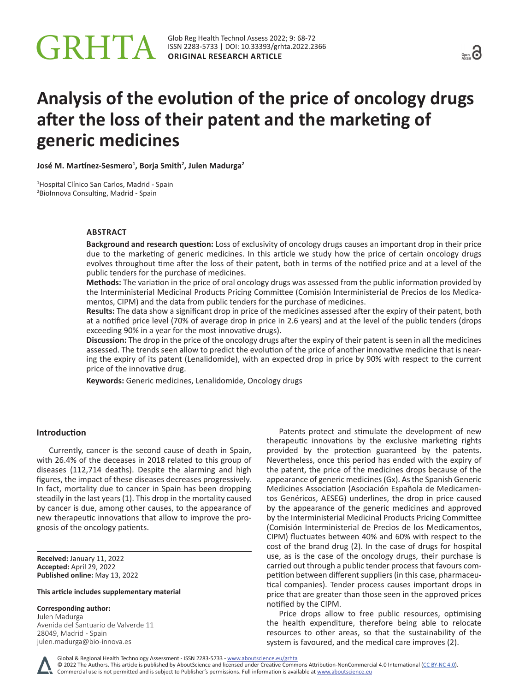# **Analysis of the evolution of the price of oncology drugs after the loss of their patent and the marketing of generic medicines**

**José M. Martínez-Sesmero<sup>1</sup> , Borja Smith<sup>2</sup> , Julen Madurga<sup>2</sup>**

1 Hospital Clínico San Carlos, Madrid - Spain 2 BioInnova Consulting, Madrid - Spain

# **ABSTRACT**

**Background and research question:** Loss of exclusivity of oncology drugs causes an important drop in their price due to the marketing of generic medicines. In this article we study how the price of certain oncology drugs evolves throughout time after the loss of their patent, both in terms of the notified price and at a level of the public tenders for the purchase of medicines.

**Methods:** The variation in the price of oral oncology drugs was assessed from the public information provided by the Interministerial Medicinal Products Pricing Committee (Comisión Interministerial de Precios de los Medicamentos, CIPM) and the data from public tenders for the purchase of medicines.

**Results:** The data show a significant drop in price of the medicines assessed after the expiry of their patent, both at a notified price level (70% of average drop in price in 2.6 years) and at the level of the public tenders (drops exceeding 90% in a year for the most innovative drugs).

**Discussion:** The drop in the price of the oncology drugs after the expiry of their patent is seen in all the medicines assessed. The trends seen allow to predict the evolution of the price of another innovative medicine that is nearing the expiry of its patent (Lenalidomide), with an expected drop in price by 90% with respect to the current price of the innovative drug.

**Keywords:** Generic medicines, Lenalidomide, Oncology drugs

### **Introduction**

Currently, cancer is the second cause of death in Spain, with 26.4% of the deceases in 2018 related to this group of diseases (112,714 deaths). Despite the alarming and high figures, the impact of these diseases decreases progressively. In fact, mortality due to cancer in Spain has been dropping steadily in the last years (1). This drop in the mortality caused by cancer is due, among other causes, to the appearance of new therapeutic innovations that allow to improve the prognosis of the oncology patients.

**Received:** January 11, 2022 **Accepted:** April 29, 2022 **Published online:** May 13, 2022

#### **This article includes supplementary material**

#### **Corresponding author:**

Julen Madurga Avenida del Santuario de Valverde 11 28049, Madrid - Spain [julen.madurga@bio-innova.es](mailto:julen.madurga@bio-innova.es)

Patents protect and stimulate the development of new therapeutic innovations by the exclusive marketing rights provided by the protection guaranteed by the patents. Nevertheless, once this period has ended with the expiry of the patent, the price of the medicines drops because of the appearance of generic medicines (Gx). As the Spanish Generic Medicines Association (Asociación Española de Medicamentos Genéricos, AESEG) underlines, the drop in price caused by the appearance of the generic medicines and approved by the Interministerial Medicinal Products Pricing Committee (Comisión Interministerial de Precios de los Medicamentos, CIPM) fluctuates between 40% and 60% with respect to the cost of the brand drug (2). In the case of drugs for hospital use, as is the case of the oncology drugs, their purchase is carried out through a public tender process that favours competition between different suppliers (in this case, pharmaceutical companies). Tender process causes important drops in price that are greater than those seen in the approved prices notified by the CIPM.

Price drops allow to free public resources, optimising the health expenditure, therefore being able to relocate resources to other areas, so that the sustainability of the system is favoured, and the medical care improves (2).

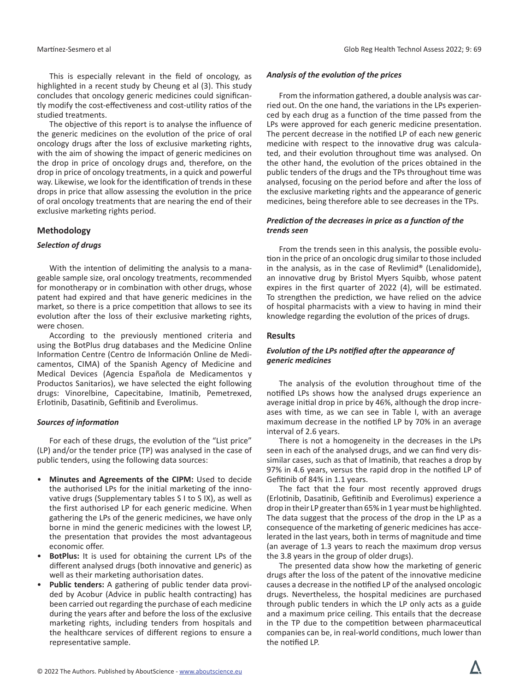This is especially relevant in the field of oncology, as highlighted in a recent study by Cheung et al (3). This study concludes that oncology generic medicines could significantly modify the cost-effectiveness and cost-utility ratios of the studied treatments.

The objective of this report is to analyse the influence of the generic medicines on the evolution of the price of oral oncology drugs after the loss of exclusive marketing rights, with the aim of showing the impact of generic medicines on the drop in price of oncology drugs and, therefore, on the drop in price of oncology treatments, in a quick and powerful way. Likewise, we look for the identification of trends in these drops in price that allow assessing the evolution in the price of oral oncology treatments that are nearing the end of their exclusive marketing rights period.

# **Methodology**

# *Selection of drugs*

With the intention of delimiting the analysis to a manageable sample size, oral oncology treatments, recommended for monotherapy or in combination with other drugs, whose patent had expired and that have generic medicines in the market, so there is a price competition that allows to see its evolution after the loss of their exclusive marketing rights, were chosen.

According to the previously mentioned criteria and using the BotPlus drug databases and the Medicine Online Information Centre (Centro de Información Online de Medicamentos, CIMA) of the Spanish Agency of Medicine and Medical Devices (Agencia Española de Medicamentos y Productos Sanitarios), we have selected the eight following drugs: Vinorelbine, Capecitabine, Imatinib, Pemetrexed, Erlotinib, Dasatinib, Gefitinib and Everolimus.

# *Sources of information*

For each of these drugs, the evolution of the "List price" (LP) and/or the tender price (TP) was analysed in the case of public tenders, using the following data sources:

- **Minutes and Agreements of the CIPM:** Used to decide the authorised LPs for the initial marketing of the innovative drugs (Supplementary tables S I to S IX), as well as the first authorised LP for each generic medicine. When gathering the LPs of the generic medicines, we have only borne in mind the generic medicines with the lowest LP, the presentation that provides the most advantageous economic offer.
- **BotPlus:** It is used for obtaining the current LPs of the different analysed drugs (both innovative and generic) as well as their marketing authorisation dates.
- **Public tenders:** A gathering of public tender data provided by Acobur (Advice in public health contracting) has been carried out regarding the purchase of each medicine during the years after and before the loss of the exclusive marketing rights, including tenders from hospitals and the healthcare services of different regions to ensure a representative sample.

# *Analysis of the evolution of the prices*

From the information gathered, a double analysis was carried out. On the one hand, the variations in the LPs experienced by each drug as a function of the time passed from the LPs were approved for each generic medicine presentation. The percent decrease in the notified LP of each new generic medicine with respect to the innovative drug was calculated, and their evolution throughout time was analysed. On the other hand, the evolution of the prices obtained in the public tenders of the drugs and the TPs throughout time was analysed, focusing on the period before and after the loss of the exclusive marketing rights and the appearance of generic medicines, being therefore able to see decreases in the TPs.

# *Prediction of the decreases in price as a function of the trends seen*

From the trends seen in this analysis, the possible evolution in the price of an oncologic drug similar to those included in the analysis, as in the case of Revlimid® (Lenalidomide), an innovative drug by Bristol Myers Squibb, whose patent expires in the first quarter of 2022 (4), will be estimated. To strengthen the prediction, we have relied on the advice of hospital pharmacists with a view to having in mind their knowledge regarding the evolution of the prices of drugs.

# **Results**

# *Evolution of the LPs notified after the appearance of generic medicines*

The analysis of the evolution throughout time of the notified LPs shows how the analysed drugs experience an average initial drop in price by 46%, although the drop increases with time, as we can see in Table I, with an average maximum decrease in the notified LP by 70% in an average interval of 2.6 years.

There is not a homogeneity in the decreases in the LPs seen in each of the analysed drugs, and we can find very dissimilar cases, such as that of Imatinib, that reaches a drop by 97% in 4.6 years, versus the rapid drop in the notified LP of Gefitinib of 84% in 1.1 years.

The fact that the four most recently approved drugs (Erlotinib, Dasatinib, Gefitinib and Everolimus) experience a drop in their LP greater than 65% in 1 year must be highlighted. The data suggest that the process of the drop in the LP as a consequence of the marketing of generic medicines has accelerated in the last years, both in terms of magnitude and time (an average of 1.3 years to reach the maximum drop versus the 3.8 years in the group of older drugs).

The presented data show how the marketing of generic drugs after the loss of the patent of the innovative medicine causes a decrease in the notified LP of the analysed oncologic drugs. Nevertheless, the hospital medicines are purchased through public tenders in which the LP only acts as a guide and a maximum price ceiling. This entails that the decrease in the TP due to the competition between pharmaceutical companies can be, in real-world conditions, much lower than the notified LP.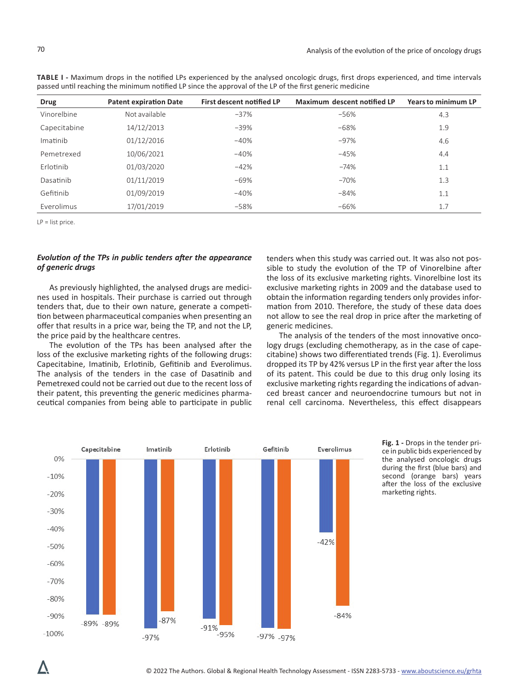| <b>Drug</b>  | <b>Patent expiration Date</b> | <b>First descent notified LP</b> | Maximum descent notified LP | <b>Years to minimum LP</b> |
|--------------|-------------------------------|----------------------------------|-----------------------------|----------------------------|
| Vinorelbine  | Not available                 | $-37%$                           | $-56%$                      | 4.3                        |
| Capecitabine | 14/12/2013                    | $-39%$                           | $-68%$                      | 1.9                        |
| Imatinib     | 01/12/2016                    | $-40%$                           | $-97%$                      | 4.6                        |
| Pemetrexed   | 10/06/2021                    | $-40%$                           | $-45%$                      | 4.4                        |
| Erlotinib    | 01/03/2020                    | $-42%$                           | $-74%$                      | 1.1                        |
| Dasatinib    | 01/11/2019                    | $-69%$                           | $-70%$                      | 1.3                        |
| Gefitinib    | 01/09/2019                    | $-40%$                           | $-84%$                      | 1.1                        |
| Everolimus   | 17/01/2019                    | $-58%$                           | $-66%$                      | 1.7                        |

**TABLE I -** Maximum drops in the notified LPs experienced by the analysed oncologic drugs, first drops experienced, and time intervals passed until reaching the minimum notified LP since the approval of the LP of the first generic medicine

LP = list price.

# *Evolution of the TPs in public tenders after the appearance of generic drugs*

As previously highlighted, the analysed drugs are medicines used in hospitals. Their purchase is carried out through tenders that, due to their own nature, generate a competition between pharmaceutical companies when presenting an offer that results in a price war, being the TP, and not the LP, the price paid by the healthcare centres.

The evolution of the TPs has been analysed after the loss of the exclusive marketing rights of the following drugs: Capecitabine, Imatinib, Erlotinib, Gefitinib and Everolimus. The analysis of the tenders in the case of Dasatinib and Pemetrexed could not be carried out due to the recent loss of their patent, this preventing the generic medicines pharmaceutical companies from being able to participate in public

tenders when this study was carried out. It was also not possible to study the evolution of the TP of Vinorelbine after the loss of its exclusive marketing rights. Vinorelbine lost its exclusive marketing rights in 2009 and the database used to obtain the information regarding tenders only provides information from 2010. Therefore, the study of these data does not allow to see the real drop in price after the marketing of generic medicines.

The analysis of the tenders of the most innovative oncology drugs (excluding chemotherapy, as in the case of capecitabine) shows two differentiated trends (Fig. 1). Everolimus dropped its TP by 42% versus LP in the first year after the loss of its patent. This could be due to this drug only losing its exclusive marketing rights regarding the indications of advanced breast cancer and neuroendocrine tumours but not in renal cell carcinoma. Nevertheless, this effect disappears



Fig. 1 - Drops in the tender price in public bids experienced by the analysed oncologic drugs during the first (blue bars) and second (orange bars) years after the loss of the exclusive marketing rights.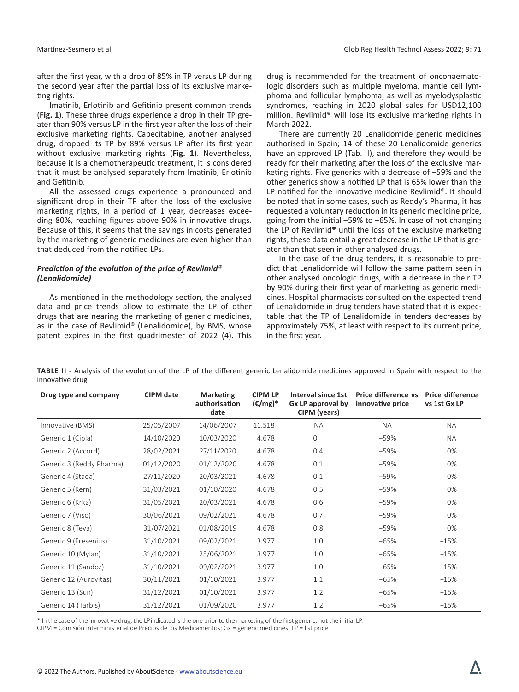after the first year, with a drop of 85% in TP versus LP during the second year after the partial loss of its exclusive marketing rights.

Imatinib, Erlotinib and Gefitinib present common trends (**Fig. 1**). These three drugs experience a drop in their TP greater than 90% versus LP in the first year after the loss of their exclusive marketing rights. Capecitabine, another analysed drug, dropped its TP by 89% versus LP after its first year without exclusive marketing rights (**Fig. 1**). Nevertheless, because it is a chemotherapeutic treatment, it is considered that it must be analysed separately from Imatinib, Erlotinib and Gefitinib.

All the assessed drugs experience a pronounced and significant drop in their TP after the loss of the exclusive marketing rights, in a period of 1 year, decreases exceeding 80%, reaching figures above 90% in innovative drugs. Because of this, it seems that the savings in costs generated by the marketing of generic medicines are even higher than that deduced from the notified LPs.

# *Prediction of the evolution of the price of Revlimid® (Lenalidomide)*

As mentioned in the methodology section, the analysed data and price trends allow to estimate the LP of other drugs that are nearing the marketing of generic medicines, as in the case of Revlimid® (Lenalidomide), by BMS, whose patent expires in the first quadrimester of 2022 (4). This

drug is recommended for the treatment of oncohaematologic disorders such as multiple myeloma, mantle cell lymphoma and follicular lymphoma, as well as myelodysplastic syndromes, reaching in 2020 global sales for USD12,100 million. Revlimid® will lose its exclusive marketing rights in March 2022.

There are currently 20 Lenalidomide generic medicines authorised in Spain; 14 of these 20 Lenalidomide generics have an approved LP (Tab. II), and therefore they would be ready for their marketing after the loss of the exclusive marketing rights. Five generics with a decrease of –59% and the other generics show a notified LP that is 65% lower than the LP notified for the innovative medicine Revlimid®. It should be noted that in some cases, such as Reddy's Pharma, it has requested a voluntary reduction in its generic medicine price, going from the initial –59% to –65%. In case of not changing the LP of Revlimid® until the loss of the exclusive marketing rights, these data entail a great decrease in the LP that is greater than that seen in other analysed drugs.

In the case of the drug tenders, it is reasonable to predict that Lenalidomide will follow the same pattern seen in other analysed oncologic drugs, with a decrease in their TP by 90% during their first year of marketing as generic medicines. Hospital pharmacists consulted on the expected trend of Lenalidomide in drug tenders have stated that it is expectable that the TP of Lenalidomide in tenders decreases by approximately 75%, at least with respect to its current price, in the first year.

**TABLE II -** Analysis of the evolution of the LP of the different generic Lenalidomide medicines approved in Spain with respect to the innovative drug

| Drug type and company    | <b>CIPM</b> date | <b>Marketing</b><br>authorisation<br>date | <b>CIPM LP</b><br>$(\epsilon/mg)^*$ | Interval since 1st<br>Gx LP approval by<br>CIPM (years) | Price difference vs<br>innovative price | <b>Price difference</b><br>vs 1st Gx LP |
|--------------------------|------------------|-------------------------------------------|-------------------------------------|---------------------------------------------------------|-----------------------------------------|-----------------------------------------|
| Innovative (BMS)         | 25/05/2007       | 14/06/2007                                | 11.518                              | <b>NA</b>                                               | <b>NA</b>                               | <b>NA</b>                               |
| Generic 1 (Cipla)        | 14/10/2020       | 10/03/2020                                | 4.678                               | $\mathbf{0}$                                            | -59%                                    | <b>NA</b>                               |
| Generic 2 (Accord)       | 28/02/2021       | 27/11/2020                                | 4.678                               | 0.4                                                     | $-59%$                                  | 0%                                      |
| Generic 3 (Reddy Pharma) | 01/12/2020       | 01/12/2020                                | 4.678                               | 0.1                                                     | $-59%$                                  | 0%                                      |
| Generic 4 (Stada)        | 27/11/2020       | 20/03/2021                                | 4.678                               | 0.1                                                     | $-59%$                                  | 0%                                      |
| Generic 5 (Kern)         | 31/03/2021       | 01/10/2020                                | 4.678                               | 0.5                                                     | $-59%$                                  | 0%                                      |
| Generic 6 (Krka)         | 31/05/2021       | 20/03/2021                                | 4.678                               | 0.6                                                     | $-59%$                                  | 0%                                      |
| Generic 7 (Viso)         | 30/06/2021       | 09/02/2021                                | 4.678                               | 0.7                                                     | $-59%$                                  | 0%                                      |
| Generic 8 (Teva)         | 31/07/2021       | 01/08/2019                                | 4.678                               | 0.8                                                     | $-59%$                                  | 0%                                      |
| Generic 9 (Fresenius)    | 31/10/2021       | 09/02/2021                                | 3.977                               | 1.0                                                     | $-65%$                                  | $-15%$                                  |
| Generic 10 (Mylan)       | 31/10/2021       | 25/06/2021                                | 3.977                               | 1.0                                                     | $-65%$                                  | $-15%$                                  |
| Generic 11 (Sandoz)      | 31/10/2021       | 09/02/2021                                | 3.977                               | 1.0                                                     | $-65%$                                  | $-15%$                                  |
| Generic 12 (Aurovitas)   | 30/11/2021       | 01/10/2021                                | 3.977                               | 1.1                                                     | $-65%$                                  | $-15%$                                  |
| Generic 13 (Sun)         | 31/12/2021       | 01/10/2021                                | 3.977                               | 1.2                                                     | $-65%$                                  | $-15%$                                  |
| Generic 14 (Tarbis)      | 31/12/2021       | 01/09/2020                                | 3.977                               | 1.2                                                     | $-65%$                                  | $-15%$                                  |

\* In the case of the innovative drug, the LP indicated is the one prior to the marketing of the first generic, not the initial LP. CIPM = Comisión Interministerial de Precios de los Medicamentos; Gx = generic medicines; LP = list price.